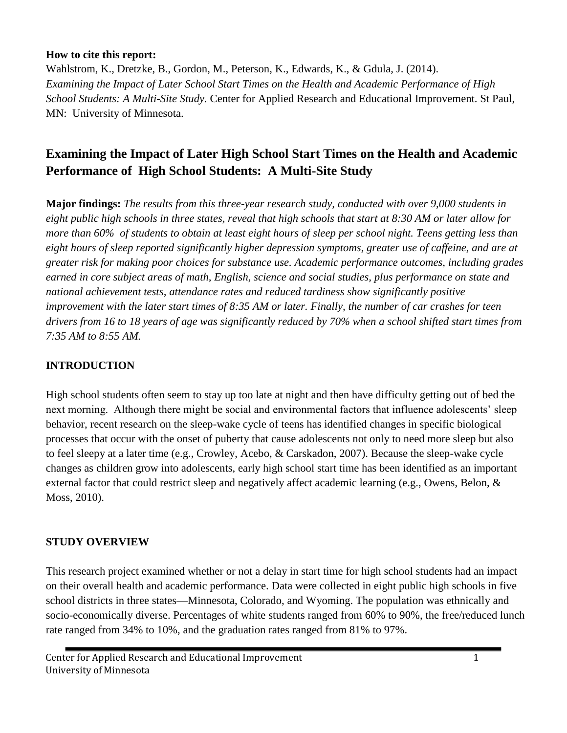#### **How to cite this report:**

Wahlstrom, K., Dretzke, B., Gordon, M., Peterson, K., Edwards, K., & Gdula, J. (2014). *Examining the Impact of Later School Start Times on the Health and Academic Performance of High School Students: A Multi-Site Study.* Center for Applied Research and Educational Improvement. St Paul, MN: University of Minnesota.

# **Examining the Impact of Later High School Start Times on the Health and Academic Performance of High School Students: A Multi-Site Study**

**Major findings:** *The results from this three-year research study, conducted with over 9,000 students in eight public high schools in three states, reveal that high schools that start at 8:30 AM or later allow for more than 60% of students to obtain at least eight hours of sleep per school night. Teens getting less than eight hours of sleep reported significantly higher depression symptoms, greater use of caffeine, and are at greater risk for making poor choices for substance use. Academic performance outcomes, including grades earned in core subject areas of math, English, science and social studies, plus performance on state and national achievement tests, attendance rates and reduced tardiness show significantly positive improvement with the later start times of 8:35 AM or later. Finally, the number of car crashes for teen drivers from 16 to 18 years of age was significantly reduced by 70% when a school shifted start times from 7:35 AM to 8:55 AM.*

#### **INTRODUCTION**

High school students often seem to stay up too late at night and then have difficulty getting out of bed the next morning. Although there might be social and environmental factors that influence adolescents' sleep behavior, recent research on the sleep-wake cycle of teens has identified changes in specific biological processes that occur with the onset of puberty that cause adolescents not only to need more sleep but also to feel sleepy at a later time (e.g., Crowley, Acebo, & Carskadon, 2007). Because the sleep-wake cycle changes as children grow into adolescents, early high school start time has been identified as an important external factor that could restrict sleep and negatively affect academic learning (e.g., Owens, Belon, & Moss, 2010).

#### **STUDY OVERVIEW**

This research project examined whether or not a delay in start time for high school students had an impact on their overall health and academic performance. Data were collected in eight public high schools in five school districts in three states—Minnesota, Colorado, and Wyoming. The population was ethnically and socio-economically diverse. Percentages of white students ranged from 60% to 90%, the free/reduced lunch rate ranged from 34% to 10%, and the graduation rates ranged from 81% to 97%.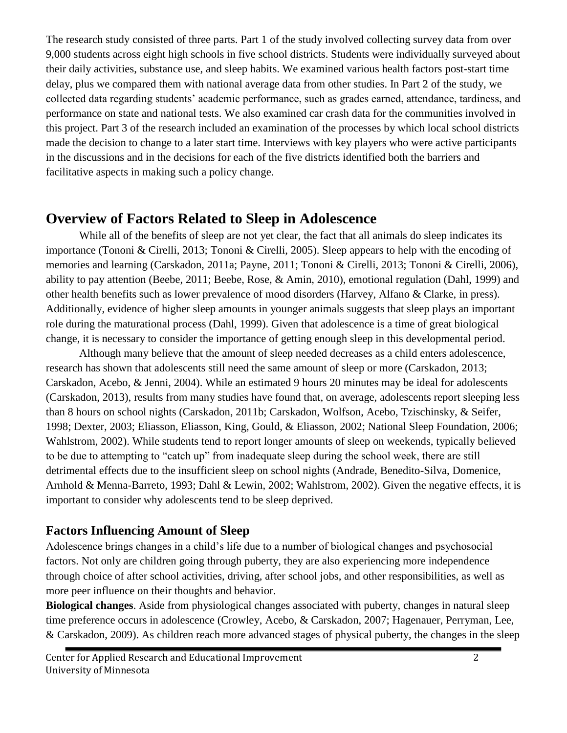The research study consisted of three parts. Part 1 of the study involved collecting survey data from over 9,000 students across eight high schools in five school districts. Students were individually surveyed about their daily activities, substance use, and sleep habits. We examined various health factors post-start time delay, plus we compared them with national average data from other studies. In Part 2 of the study, we collected data regarding students' academic performance, such as grades earned, attendance, tardiness, and performance on state and national tests. We also examined car crash data for the communities involved in this project. Part 3 of the research included an examination of the processes by which local school districts made the decision to change to a later start time. Interviews with key players who were active participants in the discussions and in the decisions for each of the five districts identified both the barriers and facilitative aspects in making such a policy change.

# **Overview of Factors Related to Sleep in Adolescence**

While all of the benefits of sleep are not yet clear, the fact that all animals do sleep indicates its importance (Tononi & Cirelli, 2013; Tononi & Cirelli, 2005). Sleep appears to help with the encoding of memories and learning (Carskadon, 2011a; Payne, 2011; Tononi & Cirelli, 2013; Tononi & Cirelli, 2006), ability to pay attention (Beebe, 2011; Beebe, Rose, & Amin, 2010), emotional regulation (Dahl, 1999) and other health benefits such as lower prevalence of mood disorders (Harvey, Alfano & Clarke, in press). Additionally, evidence of higher sleep amounts in younger animals suggests that sleep plays an important role during the maturational process (Dahl, 1999). Given that adolescence is a time of great biological change, it is necessary to consider the importance of getting enough sleep in this developmental period.

Although many believe that the amount of sleep needed decreases as a child enters adolescence, research has shown that adolescents still need the same amount of sleep or more (Carskadon, 2013; Carskadon, Acebo, & Jenni, 2004). While an estimated 9 hours 20 minutes may be ideal for adolescents (Carskadon, 2013), results from many studies have found that, on average, adolescents report sleeping less than 8 hours on school nights (Carskadon, 2011b; Carskadon, Wolfson, Acebo, Tzischinsky, & Seifer, 1998; Dexter, 2003; Eliasson, Eliasson, King, Gould, & Eliasson, 2002; National Sleep Foundation, 2006; Wahlstrom, 2002). While students tend to report longer amounts of sleep on weekends, typically believed to be due to attempting to "catch up" from inadequate sleep during the school week, there are still detrimental effects due to the insufficient sleep on school nights (Andrade, Benedito-Silva, Domenice, Arnhold & Menna-Barreto, 1993; Dahl & Lewin, 2002; Wahlstrom, 2002). Given the negative effects, it is important to consider why adolescents tend to be sleep deprived.

# **Factors Influencing Amount of Sleep**

Adolescence brings changes in a child's life due to a number of biological changes and psychosocial factors. Not only are children going through puberty, they are also experiencing more independence through choice of after school activities, driving, after school jobs, and other responsibilities, as well as more peer influence on their thoughts and behavior.

**Biological changes**. Aside from physiological changes associated with puberty, changes in natural sleep time preference occurs in adolescence (Crowley, Acebo, & Carskadon, 2007; Hagenauer, Perryman, Lee, & Carskadon, 2009). As children reach more advanced stages of physical puberty, the changes in the sleep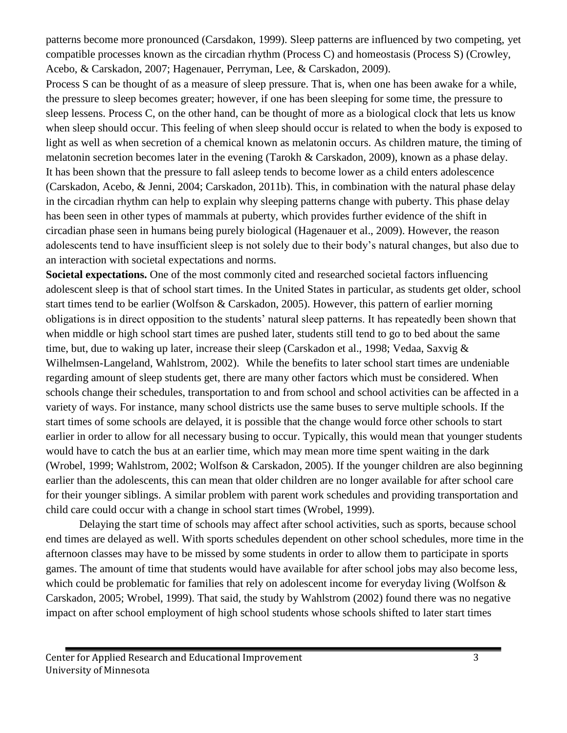patterns become more pronounced (Carsdakon, 1999). Sleep patterns are influenced by two competing, yet compatible processes known as the circadian rhythm (Process C) and homeostasis (Process S) (Crowley, Acebo, & Carskadon, 2007; Hagenauer, Perryman, Lee, & Carskadon, 2009).

Process S can be thought of as a measure of sleep pressure. That is, when one has been awake for a while, the pressure to sleep becomes greater; however, if one has been sleeping for some time, the pressure to sleep lessens. Process C, on the other hand, can be thought of more as a biological clock that lets us know when sleep should occur. This feeling of when sleep should occur is related to when the body is exposed to light as well as when secretion of a chemical known as melatonin occurs. As children mature, the timing of melatonin secretion becomes later in the evening (Tarokh & Carskadon, 2009), known as a phase delay. It has been shown that the pressure to fall asleep tends to become lower as a child enters adolescence (Carskadon, Acebo, & Jenni, 2004; Carskadon, 2011b). This, in combination with the natural phase delay in the circadian rhythm can help to explain why sleeping patterns change with puberty. This phase delay has been seen in other types of mammals at puberty, which provides further evidence of the shift in circadian phase seen in humans being purely biological (Hagenauer et al., 2009). However, the reason adolescents tend to have insufficient sleep is not solely due to their body's natural changes, but also due to an interaction with societal expectations and norms.

**Societal expectations.** One of the most commonly cited and researched societal factors influencing adolescent sleep is that of school start times. In the United States in particular, as students get older, school start times tend to be earlier (Wolfson & Carskadon, 2005). However, this pattern of earlier morning obligations is in direct opposition to the students' natural sleep patterns. It has repeatedly been shown that when middle or high school start times are pushed later, students still tend to go to bed about the same time, but, due to waking up later, increase their sleep (Carskadon et al., 1998; Vedaa, Saxvig & Wilhelmsen-Langeland, Wahlstrom, 2002). While the benefits to later school start times are undeniable regarding amount of sleep students get, there are many other factors which must be considered. When schools change their schedules, transportation to and from school and school activities can be affected in a variety of ways. For instance, many school districts use the same buses to serve multiple schools. If the start times of some schools are delayed, it is possible that the change would force other schools to start earlier in order to allow for all necessary busing to occur. Typically, this would mean that younger students would have to catch the bus at an earlier time, which may mean more time spent waiting in the dark (Wrobel, 1999; Wahlstrom, 2002; Wolfson & Carskadon, 2005). If the younger children are also beginning earlier than the adolescents, this can mean that older children are no longer available for after school care for their younger siblings. A similar problem with parent work schedules and providing transportation and child care could occur with a change in school start times (Wrobel, 1999).

Delaying the start time of schools may affect after school activities, such as sports, because school end times are delayed as well. With sports schedules dependent on other school schedules, more time in the afternoon classes may have to be missed by some students in order to allow them to participate in sports games. The amount of time that students would have available for after school jobs may also become less, which could be problematic for families that rely on adolescent income for everyday living (Wolfson & Carskadon, 2005; Wrobel, 1999). That said, the study by Wahlstrom (2002) found there was no negative impact on after school employment of high school students whose schools shifted to later start times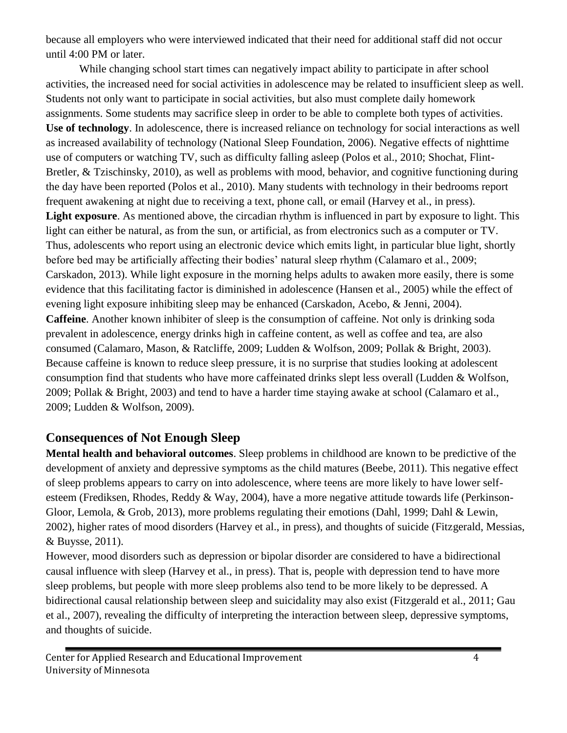because all employers who were interviewed indicated that their need for additional staff did not occur until 4:00 PM or later.

While changing school start times can negatively impact ability to participate in after school activities, the increased need for social activities in adolescence may be related to insufficient sleep as well. Students not only want to participate in social activities, but also must complete daily homework assignments. Some students may sacrifice sleep in order to be able to complete both types of activities. **Use of technology**. In adolescence, there is increased reliance on technology for social interactions as well as increased availability of technology (National Sleep Foundation, 2006). Negative effects of nighttime use of computers or watching TV, such as difficulty falling asleep (Polos et al., 2010; Shochat, Flint-Bretler, & Tzischinsky, 2010), as well as problems with mood, behavior, and cognitive functioning during the day have been reported (Polos et al., 2010). Many students with technology in their bedrooms report frequent awakening at night due to receiving a text, phone call, or email (Harvey et al., in press). **Light exposure**. As mentioned above, the circadian rhythm is influenced in part by exposure to light. This light can either be natural, as from the sun, or artificial, as from electronics such as a computer or TV. Thus, adolescents who report using an electronic device which emits light, in particular blue light, shortly before bed may be artificially affecting their bodies' natural sleep rhythm (Calamaro et al., 2009; Carskadon, 2013). While light exposure in the morning helps adults to awaken more easily, there is some evidence that this facilitating factor is diminished in adolescence (Hansen et al., 2005) while the effect of evening light exposure inhibiting sleep may be enhanced (Carskadon, Acebo, & Jenni, 2004). **Caffeine**. Another known inhibiter of sleep is the consumption of caffeine. Not only is drinking soda prevalent in adolescence, energy drinks high in caffeine content, as well as coffee and tea, are also consumed (Calamaro, Mason, & Ratcliffe, 2009; Ludden & Wolfson, 2009; Pollak & Bright, 2003). Because caffeine is known to reduce sleep pressure, it is no surprise that studies looking at adolescent consumption find that students who have more caffeinated drinks slept less overall (Ludden & Wolfson, 2009; Pollak & Bright, 2003) and tend to have a harder time staying awake at school (Calamaro et al., 2009; Ludden & Wolfson, 2009).

# **Consequences of Not Enough Sleep**

**Mental health and behavioral outcomes**. Sleep problems in childhood are known to be predictive of the development of anxiety and depressive symptoms as the child matures (Beebe, 2011). This negative effect of sleep problems appears to carry on into adolescence, where teens are more likely to have lower selfesteem (Frediksen, Rhodes, Reddy & Way, 2004), have a more negative attitude towards life (Perkinson-Gloor, Lemola, & Grob, 2013), more problems regulating their emotions (Dahl, 1999; Dahl & Lewin, 2002), higher rates of mood disorders (Harvey et al., in press), and thoughts of suicide (Fitzgerald, Messias, & Buysse, 2011).

However, mood disorders such as depression or bipolar disorder are considered to have a bidirectional causal influence with sleep (Harvey et al., in press). That is, people with depression tend to have more sleep problems, but people with more sleep problems also tend to be more likely to be depressed. A bidirectional causal relationship between sleep and suicidality may also exist (Fitzgerald et al., 2011; Gau et al., 2007), revealing the difficulty of interpreting the interaction between sleep, depressive symptoms, and thoughts of suicide.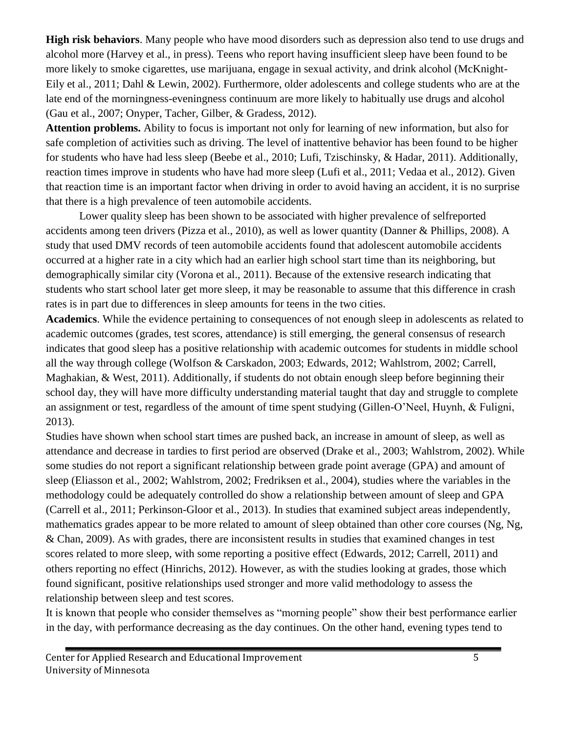**High risk behaviors**. Many people who have mood disorders such as depression also tend to use drugs and alcohol more (Harvey et al., in press). Teens who report having insufficient sleep have been found to be more likely to smoke cigarettes, use marijuana, engage in sexual activity, and drink alcohol (McKnight-Eily et al., 2011; Dahl & Lewin, 2002). Furthermore, older adolescents and college students who are at the late end of the morningness-eveningness continuum are more likely to habitually use drugs and alcohol (Gau et al., 2007; Onyper, Tacher, Gilber, & Gradess, 2012).

**Attention problems.** Ability to focus is important not only for learning of new information, but also for safe completion of activities such as driving. The level of inattentive behavior has been found to be higher for students who have had less sleep (Beebe et al., 2010; Lufi, Tzischinsky, & Hadar, 2011). Additionally, reaction times improve in students who have had more sleep (Lufi et al., 2011; Vedaa et al., 2012). Given that reaction time is an important factor when driving in order to avoid having an accident, it is no surprise that there is a high prevalence of teen automobile accidents.

Lower quality sleep has been shown to be associated with higher prevalence of selfreported accidents among teen drivers (Pizza et al., 2010), as well as lower quantity (Danner & Phillips, 2008). A study that used DMV records of teen automobile accidents found that adolescent automobile accidents occurred at a higher rate in a city which had an earlier high school start time than its neighboring, but demographically similar city (Vorona et al., 2011). Because of the extensive research indicating that students who start school later get more sleep, it may be reasonable to assume that this difference in crash rates is in part due to differences in sleep amounts for teens in the two cities.

**Academics**. While the evidence pertaining to consequences of not enough sleep in adolescents as related to academic outcomes (grades, test scores, attendance) is still emerging, the general consensus of research indicates that good sleep has a positive relationship with academic outcomes for students in middle school all the way through college (Wolfson & Carskadon, 2003; Edwards, 2012; Wahlstrom, 2002; Carrell, Maghakian, & West, 2011). Additionally, if students do not obtain enough sleep before beginning their school day, they will have more difficulty understanding material taught that day and struggle to complete an assignment or test, regardless of the amount of time spent studying (Gillen-O'Neel, Huynh, & Fuligni, 2013).

Studies have shown when school start times are pushed back, an increase in amount of sleep, as well as attendance and decrease in tardies to first period are observed (Drake et al., 2003; Wahlstrom, 2002). While some studies do not report a significant relationship between grade point average (GPA) and amount of sleep (Eliasson et al., 2002; Wahlstrom, 2002; Fredriksen et al., 2004), studies where the variables in the methodology could be adequately controlled do show a relationship between amount of sleep and GPA (Carrell et al., 2011; Perkinson-Gloor et al., 2013). In studies that examined subject areas independently, mathematics grades appear to be more related to amount of sleep obtained than other core courses (Ng, Ng, & Chan, 2009). As with grades, there are inconsistent results in studies that examined changes in test scores related to more sleep, with some reporting a positive effect (Edwards, 2012; Carrell, 2011) and others reporting no effect (Hinrichs, 2012). However, as with the studies looking at grades, those which found significant, positive relationships used stronger and more valid methodology to assess the relationship between sleep and test scores.

It is known that people who consider themselves as "morning people" show their best performance earlier in the day, with performance decreasing as the day continues. On the other hand, evening types tend to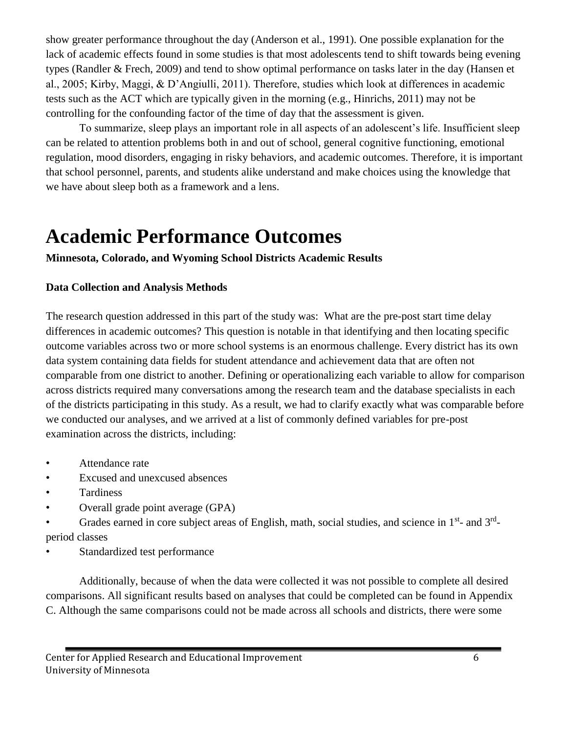show greater performance throughout the day (Anderson et al., 1991). One possible explanation for the lack of academic effects found in some studies is that most adolescents tend to shift towards being evening types (Randler & Frech, 2009) and tend to show optimal performance on tasks later in the day (Hansen et al., 2005; Kirby, Maggi, & D'Angiulli, 2011). Therefore, studies which look at differences in academic tests such as the ACT which are typically given in the morning (e.g., Hinrichs, 2011) may not be controlling for the confounding factor of the time of day that the assessment is given.

To summarize, sleep plays an important role in all aspects of an adolescent's life. Insufficient sleep can be related to attention problems both in and out of school, general cognitive functioning, emotional regulation, mood disorders, engaging in risky behaviors, and academic outcomes. Therefore, it is important that school personnel, parents, and students alike understand and make choices using the knowledge that we have about sleep both as a framework and a lens.

# **Academic Performance Outcomes**

**Minnesota, Colorado, and Wyoming School Districts Academic Results** 

#### **Data Collection and Analysis Methods**

The research question addressed in this part of the study was: What are the pre-post start time delay differences in academic outcomes? This question is notable in that identifying and then locating specific outcome variables across two or more school systems is an enormous challenge. Every district has its own data system containing data fields for student attendance and achievement data that are often not comparable from one district to another. Defining or operationalizing each variable to allow for comparison across districts required many conversations among the research team and the database specialists in each of the districts participating in this study. As a result, we had to clarify exactly what was comparable before we conducted our analyses, and we arrived at a list of commonly defined variables for pre-post examination across the districts, including:

- Attendance rate
- Excused and unexcused absences
- **Tardiness**
- Overall grade point average (GPA)
- Grades earned in core subject areas of English, math, social studies, and science in 1<sup>st</sup>- and 3<sup>rd</sup>period classes
- Standardized test performance

Additionally, because of when the data were collected it was not possible to complete all desired comparisons. All significant results based on analyses that could be completed can be found in Appendix C. Although the same comparisons could not be made across all schools and districts, there were some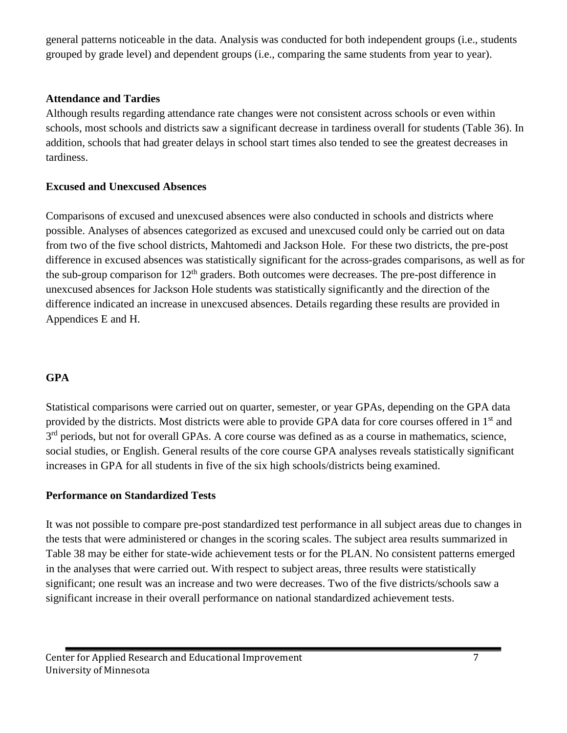general patterns noticeable in the data. Analysis was conducted for both independent groups (i.e., students grouped by grade level) and dependent groups (i.e., comparing the same students from year to year).

#### **Attendance and Tardies**

Although results regarding attendance rate changes were not consistent across schools or even within schools, most schools and districts saw a significant decrease in tardiness overall for students (Table 36). In addition, schools that had greater delays in school start times also tended to see the greatest decreases in tardiness.

#### **Excused and Unexcused Absences**

Comparisons of excused and unexcused absences were also conducted in schools and districts where possible. Analyses of absences categorized as excused and unexcused could only be carried out on data from two of the five school districts, Mahtomedi and Jackson Hole. For these two districts, the pre-post difference in excused absences was statistically significant for the across-grades comparisons, as well as for the sub-group comparison for  $12<sup>th</sup>$  graders. Both outcomes were decreases. The pre-post difference in unexcused absences for Jackson Hole students was statistically significantly and the direction of the difference indicated an increase in unexcused absences. Details regarding these results are provided in Appendices E and H.

#### **GPA**

Statistical comparisons were carried out on quarter, semester, or year GPAs, depending on the GPA data provided by the districts. Most districts were able to provide GPA data for core courses offered in 1st and 3<sup>rd</sup> periods, but not for overall GPAs. A core course was defined as as a course in mathematics, science, social studies, or English. General results of the core course GPA analyses reveals statistically significant increases in GPA for all students in five of the six high schools/districts being examined.

#### **Performance on Standardized Tests**

It was not possible to compare pre-post standardized test performance in all subject areas due to changes in the tests that were administered or changes in the scoring scales. The subject area results summarized in Table 38 may be either for state-wide achievement tests or for the PLAN. No consistent patterns emerged in the analyses that were carried out. With respect to subject areas, three results were statistically significant; one result was an increase and two were decreases. Two of the five districts/schools saw a significant increase in their overall performance on national standardized achievement tests.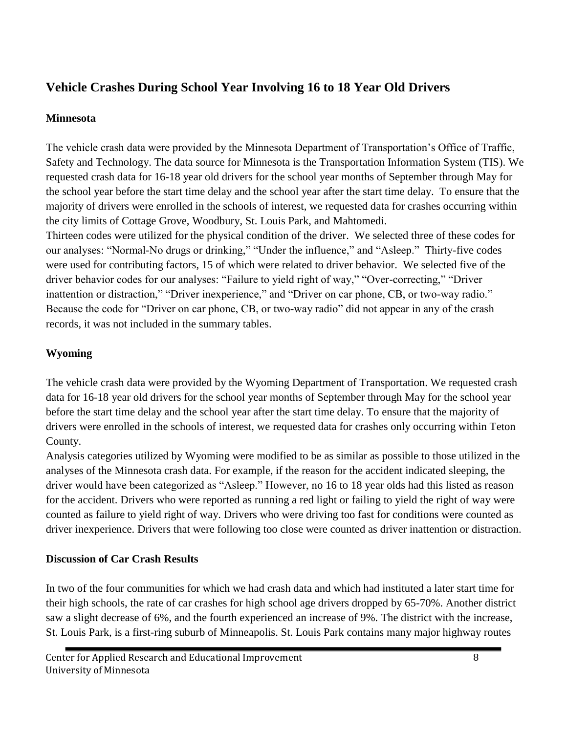# **Vehicle Crashes During School Year Involving 16 to 18 Year Old Drivers**

### **Minnesota**

The vehicle crash data were provided by the Minnesota Department of Transportation's Office of Traffic, Safety and Technology. The data source for Minnesota is the Transportation Information System (TIS). We requested crash data for 16-18 year old drivers for the school year months of September through May for the school year before the start time delay and the school year after the start time delay. To ensure that the majority of drivers were enrolled in the schools of interest, we requested data for crashes occurring within the city limits of Cottage Grove, Woodbury, St. Louis Park, and Mahtomedi.

Thirteen codes were utilized for the physical condition of the driver. We selected three of these codes for our analyses: "Normal-No drugs or drinking," "Under the influence," and "Asleep." Thirty-five codes were used for contributing factors, 15 of which were related to driver behavior. We selected five of the driver behavior codes for our analyses: "Failure to yield right of way," "Over-correcting," "Driver inattention or distraction," "Driver inexperience," and "Driver on car phone, CB, or two-way radio." Because the code for "Driver on car phone, CB, or two-way radio" did not appear in any of the crash records, it was not included in the summary tables.

# **Wyoming**

The vehicle crash data were provided by the Wyoming Department of Transportation. We requested crash data for 16-18 year old drivers for the school year months of September through May for the school year before the start time delay and the school year after the start time delay. To ensure that the majority of drivers were enrolled in the schools of interest, we requested data for crashes only occurring within Teton County.

Analysis categories utilized by Wyoming were modified to be as similar as possible to those utilized in the analyses of the Minnesota crash data. For example, if the reason for the accident indicated sleeping, the driver would have been categorized as "Asleep." However, no 16 to 18 year olds had this listed as reason for the accident. Drivers who were reported as running a red light or failing to yield the right of way were counted as failure to yield right of way. Drivers who were driving too fast for conditions were counted as driver inexperience. Drivers that were following too close were counted as driver inattention or distraction.

# **Discussion of Car Crash Results**

In two of the four communities for which we had crash data and which had instituted a later start time for their high schools, the rate of car crashes for high school age drivers dropped by 65-70%. Another district saw a slight decrease of 6%, and the fourth experienced an increase of 9%. The district with the increase, St. Louis Park, is a first-ring suburb of Minneapolis. St. Louis Park contains many major highway routes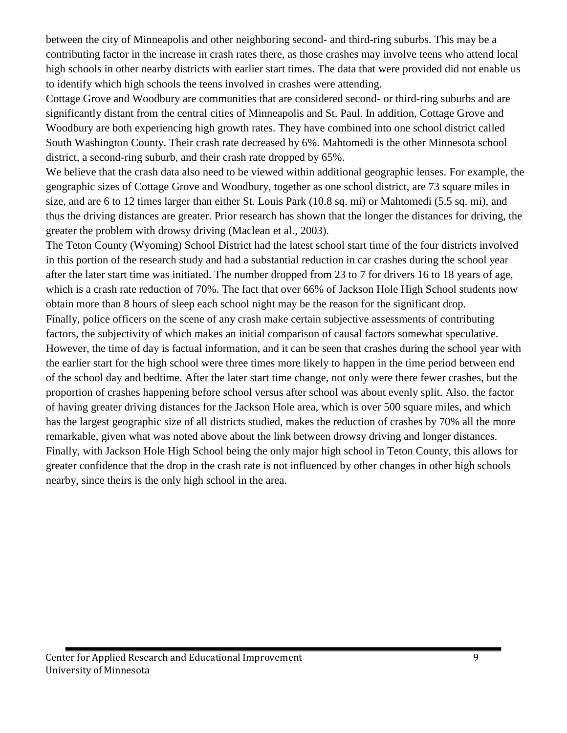between the city of Minneapolis and other neighboring second- and third-ring suburbs. This may be a contributing factor in the increase in crash rates there, as those crashes may involve teens who attend local high schools in other nearby districts with earlier start times. The data that were provided did not enable us to identify which high schools the teens involved in crashes were attending.

Cottage Grove and Woodbury are communities that are considered second- or third-ring suburbs and are significantly distant from the central cities of Minneapolis and St. Paul. In addition, Cottage Grove and Woodbury are both experiencing high growth rates. They have combined into one school district called South Washington County. Their crash rate decreased by 6%. Mahtomedi is the other Minnesota school district, a second-ring suburb, and their crash rate dropped by 65%.

We believe that the crash data also need to be viewed within additional geographic lenses. For example, the geographic sizes of Cottage Grove and Woodbury, together as one school district, are 73 square miles in size, and are 6 to 12 times larger than either St. Louis Park (10.8 sq. mi) or Mahtomedi (5.5 sq. mi), and thus the driving distances are greater. Prior research has shown that the longer the distances for driving, the greater the problem with drowsy driving (Maclean et al., 2003).

The Teton County (Wyoming) School District had the latest school start time of the four districts involved in this portion of the research study and had a substantial reduction in car crashes during the school year after the later start time was initiated. The number dropped from 23 to 7 for drivers 16 to 18 years of age, which is a crash rate reduction of 70%. The fact that over 66% of Jackson Hole High School students now obtain more than 8 hours of sleep each school night may be the reason for the significant drop.

Finally, police officers on the scene of any crash make certain subjective assessments of contributing factors, the subjectivity of which makes an initial comparison of causal factors somewhat speculative. However, the time of day is factual information, and it can be seen that crashes during the school year with the earlier start for the high school were three times more likely to happen in the time period between end of the school day and bedtime. After the later start time change, not only were there fewer crashes, but the proportion of crashes happening before school versus after school was about evenly split. Also, the factor of having greater driving distances for the Jackson Hole area, which is over 500 square miles, and which has the largest geographic size of all districts studied, makes the reduction of crashes by 70% all the more remarkable, given what was noted above about the link between drowsy driving and longer distances. Finally, with Jackson Hole High School being the only major high school in Teton County, this allows for greater confidence that the drop in the crash rate is not influenced by other changes in other high schools nearby, since theirs is the only high school in the area.